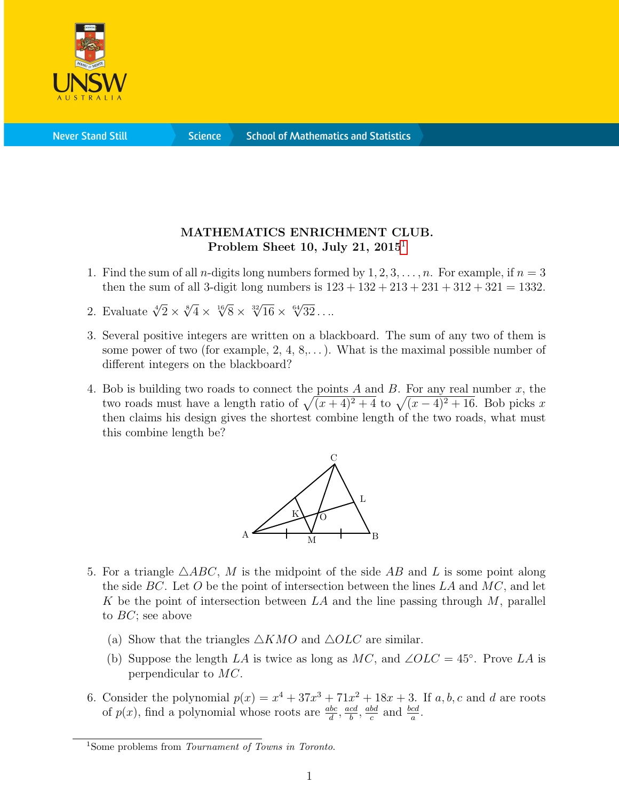

**Science** 

## MATHEMATICS ENRICHMENT CLUB. Problem Sheet [1](#page-0-0)0, July 21,  $2015<sup>1</sup>$

- 1. Find the sum of all *n*-digits long numbers formed by  $1, 2, 3, \ldots, n$ . For example, if  $n = 3$ then the sum of all 3-digit long numbers is  $123 + 132 + 213 + 231 + 312 + 321 = 1332$ .
- 2. Evaluate  $\sqrt[4]{2} \times \sqrt[8]{4} \times \sqrt[16]{8} \times \sqrt[32]{16} \times \sqrt[64]{32} \dots$
- 3. Several positive integers are written on a blackboard. The sum of any two of them is some power of two (for example,  $2, 4, 8, \ldots$ ). What is the maximal possible number of different integers on the blackboard?
- 4. Bob is building two roads to connect the points A and B. For any real number  $x$ , the two roads must have a length ratio of  $\sqrt{(x+4)^2+4}$  to  $\sqrt{(x-4)^2+16}$ . Bob picks x then claims his design gives the shortest combine length of the two roads, what must this combine length be?



- 5. For a triangle  $\triangle ABC$ , M is the midpoint of the side AB and L is some point along the side BC. Let O be the point of intersection between the lines LA and  $MC$ , and let K be the point of intersection between  $LA$  and the line passing through  $M$ , parallel to  $BC$ ; see above
	- (a) Show that the triangles  $\triangle KMO$  and  $\triangle OLC$  are similar.
	- (b) Suppose the length LA is twice as long as  $MC$ , and  $\angle OLC = 45^{\circ}$ . Prove LA is perpendicular to MC.
- 6. Consider the polynomial  $p(x) = x^4 + 37x^3 + 71x^2 + 18x + 3$ . If a, b, c and d are roots of  $p(x)$ , find a polynomial whose roots are  $\frac{abc}{d}$ ,  $\frac{acd}{b}$  $\frac{cd}{b}, \frac{abd}{c}$  $\frac{bd}{c}$  and  $\frac{bcd}{a}$ .

<span id="page-0-0"></span><sup>&</sup>lt;sup>1</sup>Some problems from *Tournament of Towns in Toronto*.